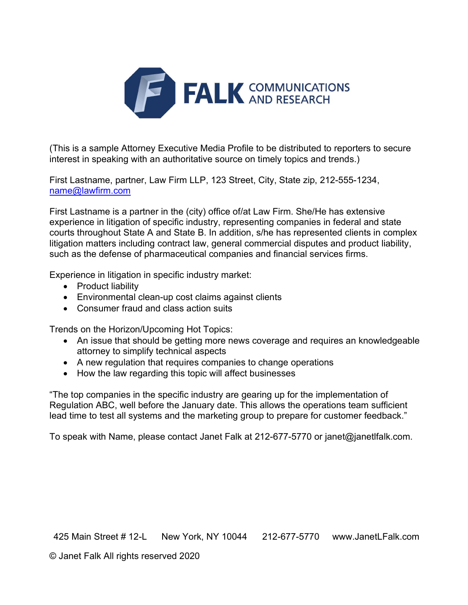

(This is a sample Attorney Executive Media Profile to be distributed to reporters to secure interest in speaking with an authoritative source on timely topics and trends.)

First Lastname, partner, Law Firm LLP, 123 Street, City, State zip, 212-555-1234, name@lawfirm.com

First Lastname is a partner in the (city) office of/at Law Firm. She/He has extensive experience in litigation of specific industry, representing companies in federal and state courts throughout State A and State B. In addition, s/he has represented clients in complex litigation matters including contract law, general commercial disputes and product liability, such as the defense of pharmaceutical companies and financial services firms.

Experience in litigation in specific industry market:

- Product liability
- Environmental clean-up cost claims against clients
- Consumer fraud and class action suits

Trends on the Horizon/Upcoming Hot Topics:

- An issue that should be getting more news coverage and requires an knowledgeable attorney to simplify technical aspects
- A new regulation that requires companies to change operations
- How the law regarding this topic will affect businesses

"The top companies in the specific industry are gearing up for the implementation of Regulation ABC, well before the January date. This allows the operations team sufficient lead time to test all systems and the marketing group to prepare for customer feedback."

To speak with Name, please contact Janet Falk at 212-677-5770 or janet@janetlfalk.com.